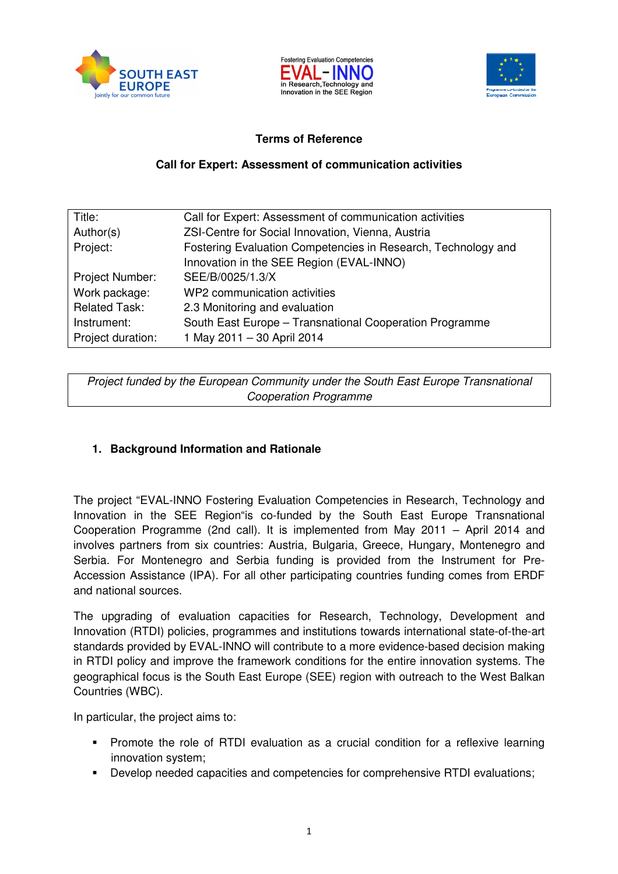





#### **Terms of Reference**

#### **Call for Expert: Assessment of communication activities**

| Title:               | Call for Expert: Assessment of communication activities       |
|----------------------|---------------------------------------------------------------|
| Author(s)            | ZSI-Centre for Social Innovation, Vienna, Austria             |
| Project:             | Fostering Evaluation Competencies in Research, Technology and |
|                      | Innovation in the SEE Region (EVAL-INNO)                      |
| Project Number:      | SEE/B/0025/1.3/X                                              |
| Work package:        | WP2 communication activities                                  |
| <b>Related Task:</b> | 2.3 Monitoring and evaluation                                 |
| Instrument:          | South East Europe - Transnational Cooperation Programme       |
| Project duration:    | 1 May 2011 - 30 April 2014                                    |

Project funded by the European Community under the South East Europe Transnational Cooperation Programme

## **1. Background Information and Rationale**

The project "EVAL-INNO Fostering Evaluation Competencies in Research, Technology and Innovation in the SEE Region"is co-funded by the South East Europe Transnational Cooperation Programme (2nd call). It is implemented from May 2011 – April 2014 and involves partners from six countries: Austria, Bulgaria, Greece, Hungary, Montenegro and Serbia. For Montenegro and Serbia funding is provided from the Instrument for Pre-Accession Assistance (IPA). For all other participating countries funding comes from ERDF and national sources.

The upgrading of evaluation capacities for Research, Technology, Development and Innovation (RTDI) policies, programmes and institutions towards international state-of-the-art standards provided by EVAL-INNO will contribute to a more evidence-based decision making in RTDI policy and improve the framework conditions for the entire innovation systems. The geographical focus is the South East Europe (SEE) region with outreach to the West Balkan Countries (WBC).

In particular, the project aims to:

- Promote the role of RTDI evaluation as a crucial condition for a reflexive learning innovation system;
- Develop needed capacities and competencies for comprehensive RTDI evaluations;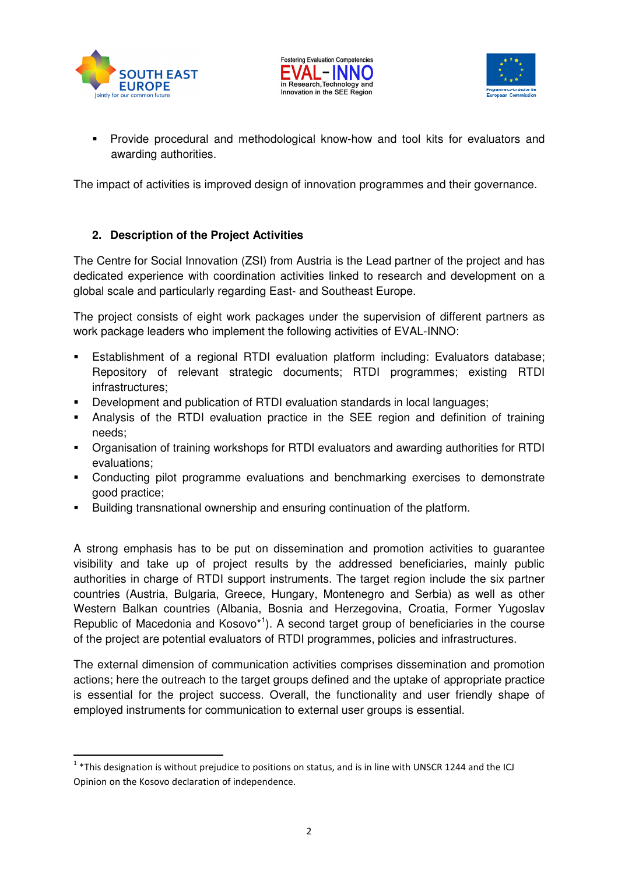

l





 Provide procedural and methodological know-how and tool kits for evaluators and awarding authorities.

The impact of activities is improved design of innovation programmes and their governance.

# **2. Description of the Project Activities**

The Centre for Social Innovation (ZSI) from Austria is the Lead partner of the project and has dedicated experience with coordination activities linked to research and development on a global scale and particularly regarding East- and Southeast Europe.

The project consists of eight work packages under the supervision of different partners as work package leaders who implement the following activities of EVAL-INNO:

- Establishment of a regional RTDI evaluation platform including: Evaluators database; Repository of relevant strategic documents; RTDI programmes; existing RTDI infrastructures;
- Development and publication of RTDI evaluation standards in local languages;
- Analysis of the RTDI evaluation practice in the SEE region and definition of training needs;
- Organisation of training workshops for RTDI evaluators and awarding authorities for RTDI evaluations;
- Conducting pilot programme evaluations and benchmarking exercises to demonstrate good practice;
- Building transnational ownership and ensuring continuation of the platform.

A strong emphasis has to be put on dissemination and promotion activities to guarantee visibility and take up of project results by the addressed beneficiaries, mainly public authorities in charge of RTDI support instruments. The target region include the six partner countries (Austria, Bulgaria, Greece, Hungary, Montenegro and Serbia) as well as other Western Balkan countries (Albania, Bosnia and Herzegovina, Croatia, Former Yugoslav Republic of Macedonia and Kosovo<sup>\*1</sup>). A second target group of beneficiaries in the course of the project are potential evaluators of RTDI programmes, policies and infrastructures.

The external dimension of communication activities comprises dissemination and promotion actions; here the outreach to the target groups defined and the uptake of appropriate practice is essential for the project success. Overall, the functionality and user friendly shape of employed instruments for communication to external user groups is essential.

 $1$  \*This designation is without prejudice to positions on status, and is in line with UNSCR 1244 and the ICJ Opinion on the Kosovo declaration of independence.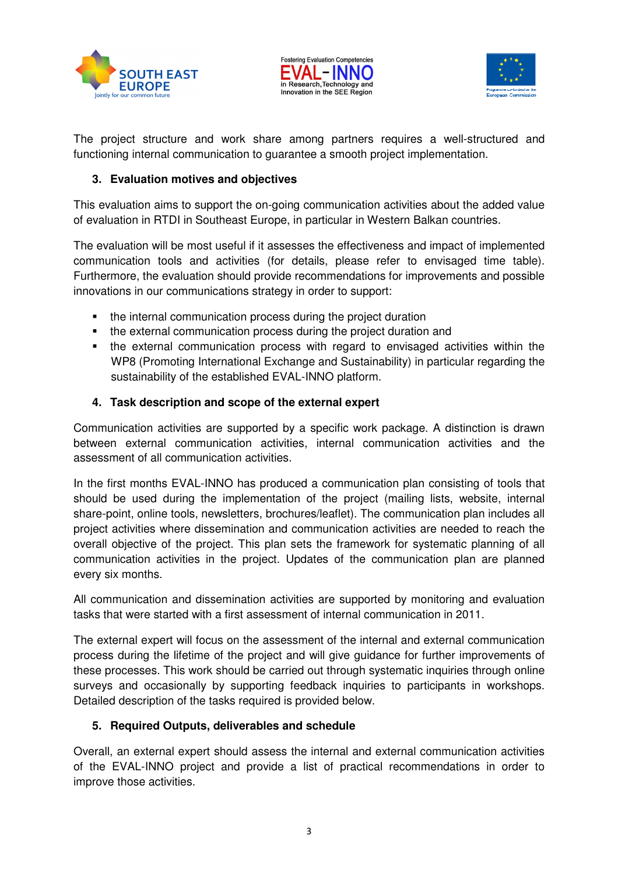





The project structure and work share among partners requires a well-structured and functioning internal communication to guarantee a smooth project implementation.

## **3. Evaluation motives and objectives**

This evaluation aims to support the on-going communication activities about the added value of evaluation in RTDI in Southeast Europe, in particular in Western Balkan countries.

The evaluation will be most useful if it assesses the effectiveness and impact of implemented communication tools and activities (for details, please refer to envisaged time table). Furthermore, the evaluation should provide recommendations for improvements and possible innovations in our communications strategy in order to support:

- the internal communication process during the project duration
- the external communication process during the project duration and
- the external communication process with regard to envisaged activities within the WP8 (Promoting International Exchange and Sustainability) in particular regarding the sustainability of the established EVAL-INNO platform.

## **4. Task description and scope of the external expert**

Communication activities are supported by a specific work package. A distinction is drawn between external communication activities, internal communication activities and the assessment of all communication activities.

In the first months EVAL-INNO has produced a communication plan consisting of tools that should be used during the implementation of the project (mailing lists, website, internal share-point, online tools, newsletters, brochures/leaflet). The communication plan includes all project activities where dissemination and communication activities are needed to reach the overall objective of the project. This plan sets the framework for systematic planning of all communication activities in the project. Updates of the communication plan are planned every six months.

All communication and dissemination activities are supported by monitoring and evaluation tasks that were started with a first assessment of internal communication in 2011.

The external expert will focus on the assessment of the internal and external communication process during the lifetime of the project and will give guidance for further improvements of these processes. This work should be carried out through systematic inquiries through online surveys and occasionally by supporting feedback inquiries to participants in workshops. Detailed description of the tasks required is provided below.

# **5. Required Outputs, deliverables and schedule**

Overall, an external expert should assess the internal and external communication activities of the EVAL-INNO project and provide a list of practical recommendations in order to improve those activities.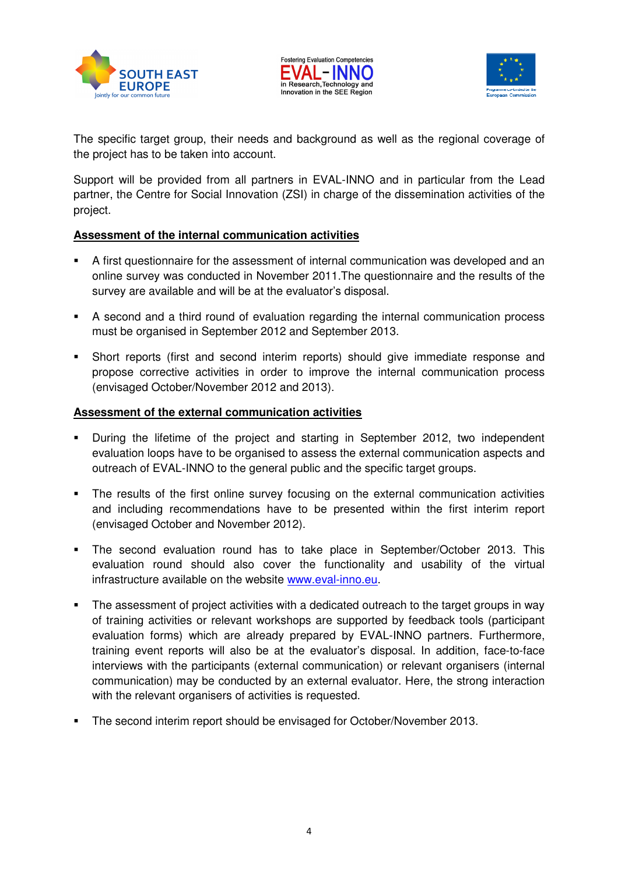





The specific target group, their needs and background as well as the regional coverage of the project has to be taken into account.

Support will be provided from all partners in EVAL-INNO and in particular from the Lead partner, the Centre for Social Innovation (ZSI) in charge of the dissemination activities of the project.

#### **Assessment of the internal communication activities**

- A first questionnaire for the assessment of internal communication was developed and an online survey was conducted in November 2011.The questionnaire and the results of the survey are available and will be at the evaluator's disposal.
- A second and a third round of evaluation regarding the internal communication process must be organised in September 2012 and September 2013.
- Short reports (first and second interim reports) should give immediate response and propose corrective activities in order to improve the internal communication process (envisaged October/November 2012 and 2013).

#### **Assessment of the external communication activities**

- During the lifetime of the project and starting in September 2012, two independent evaluation loops have to be organised to assess the external communication aspects and outreach of EVAL-INNO to the general public and the specific target groups.
- The results of the first online survey focusing on the external communication activities and including recommendations have to be presented within the first interim report (envisaged October and November 2012).
- The second evaluation round has to take place in September/October 2013. This evaluation round should also cover the functionality and usability of the virtual infrastructure available on the website www.eval-inno.eu.
- The assessment of project activities with a dedicated outreach to the target groups in way of training activities or relevant workshops are supported by feedback tools (participant evaluation forms) which are already prepared by EVAL-INNO partners. Furthermore, training event reports will also be at the evaluator's disposal. In addition, face-to-face interviews with the participants (external communication) or relevant organisers (internal communication) may be conducted by an external evaluator. Here, the strong interaction with the relevant organisers of activities is requested.
- The second interim report should be envisaged for October/November 2013.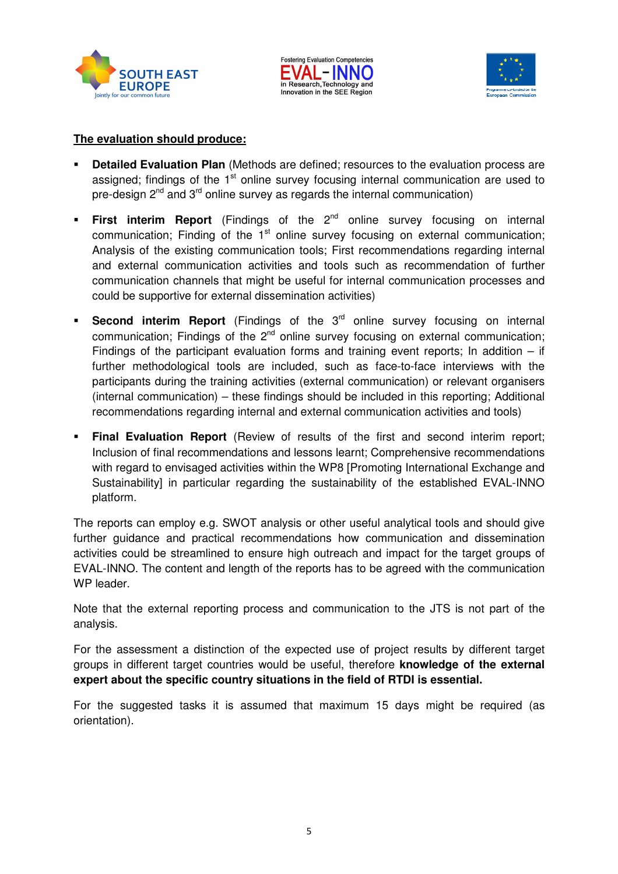





#### **The evaluation should produce:**

- **Detailed Evaluation Plan** (Methods are defined; resources to the evaluation process are assigned; findings of the  $1<sup>st</sup>$  online survey focusing internal communication are used to pre-design  $2<sup>nd</sup>$  and  $3<sup>rd</sup>$  online survey as regards the internal communication)
- **First interim Report** (Findings of the 2<sup>nd</sup> online survey focusing on internal communication; Finding of the  $1<sup>st</sup>$  online survey focusing on external communication; Analysis of the existing communication tools; First recommendations regarding internal and external communication activities and tools such as recommendation of further communication channels that might be useful for internal communication processes and could be supportive for external dissemination activities)
- **Second interim Report** (Findings of the 3<sup>rd</sup> online survey focusing on internal communication; Findings of the  $2<sup>nd</sup>$  online survey focusing on external communication; Findings of the participant evaluation forms and training event reports; In addition  $-$  if further methodological tools are included, such as face-to-face interviews with the participants during the training activities (external communication) or relevant organisers (internal communication) – these findings should be included in this reporting; Additional recommendations regarding internal and external communication activities and tools)
- **Final Evaluation Report** (Review of results of the first and second interim report; Inclusion of final recommendations and lessons learnt; Comprehensive recommendations with regard to envisaged activities within the WP8 [Promoting International Exchange and Sustainability] in particular regarding the sustainability of the established EVAL-INNO platform.

The reports can employ e.g. SWOT analysis or other useful analytical tools and should give further guidance and practical recommendations how communication and dissemination activities could be streamlined to ensure high outreach and impact for the target groups of EVAL-INNO. The content and length of the reports has to be agreed with the communication WP leader.

Note that the external reporting process and communication to the JTS is not part of the analysis.

For the assessment a distinction of the expected use of project results by different target groups in different target countries would be useful, therefore **knowledge of the external expert about the specific country situations in the field of RTDI is essential.**

For the suggested tasks it is assumed that maximum 15 days might be required (as orientation).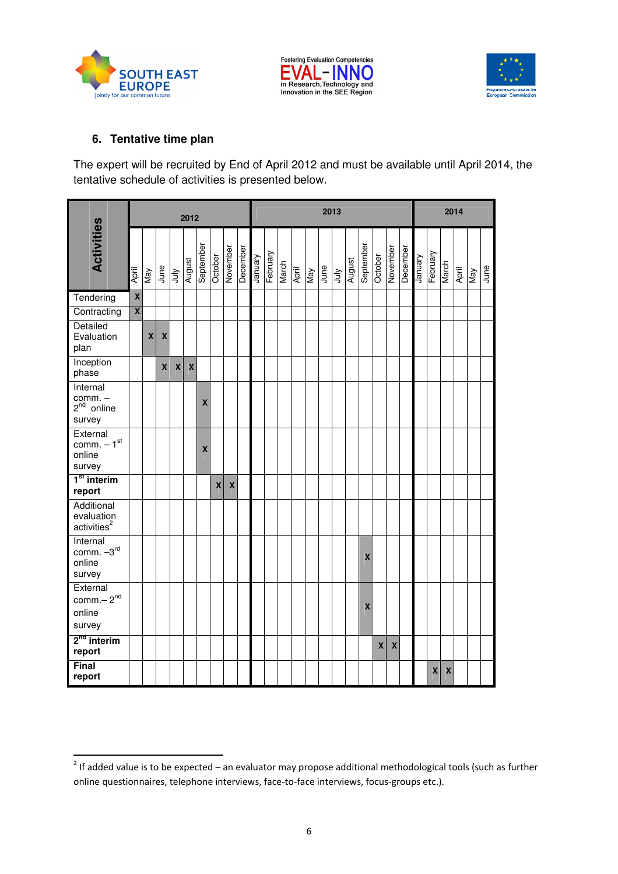





## **6. Tentative time plan**

The expert will be recruited by End of April 2012 and must be available until April 2014, the tentative schedule of activities is presented below.

| <b>Activities</b>                                         |                         | 2012               |                    |            |                    |                    |              |                    |          |         | 2013     |       |       |     |      |            |        |                    |              |                    |          |         | 2014     |       |       |     |      |  |
|-----------------------------------------------------------|-------------------------|--------------------|--------------------|------------|--------------------|--------------------|--------------|--------------------|----------|---------|----------|-------|-------|-----|------|------------|--------|--------------------|--------------|--------------------|----------|---------|----------|-------|-------|-----|------|--|
|                                                           | April                   | Vay                | June               | <b>Anr</b> | August             | September          | October      | November           | December | Vienuen | February | March | April | Vay | June | <b>Anr</b> | August | September          | October      | November           | December | Vienuel | February | March | April | Vay | June |  |
| Tendering                                                 | $\mathbf x$             |                    |                    |            |                    |                    |              |                    |          |         |          |       |       |     |      |            |        |                    |              |                    |          |         |          |       |       |     |      |  |
| Contracting                                               | $\overline{\textbf{X}}$ |                    |                    |            |                    |                    |              |                    |          |         |          |       |       |     |      |            |        |                    |              |                    |          |         |          |       |       |     |      |  |
| Detailed<br>Evaluation<br>plan                            |                         | $\pmb{\mathsf{X}}$ | $\pmb{\mathsf{X}}$ |            |                    |                    |              |                    |          |         |          |       |       |     |      |            |        |                    |              |                    |          |         |          |       |       |     |      |  |
| Inception<br>phase                                        |                         |                    | $\mathsf{x}$       | X          | $\pmb{\mathsf{X}}$ |                    |              |                    |          |         |          |       |       |     |      |            |        |                    |              |                    |          |         |          |       |       |     |      |  |
| Internal<br>comm. $-$<br>2 <sup>nd</sup> online<br>survey |                         |                    |                    |            |                    | X                  |              |                    |          |         |          |       |       |     |      |            |        |                    |              |                    |          |         |          |       |       |     |      |  |
| External<br>$comm. -1st$<br>online<br>survey              |                         |                    |                    |            |                    | $\pmb{\mathsf{X}}$ |              |                    |          |         |          |       |       |     |      |            |        |                    |              |                    |          |         |          |       |       |     |      |  |
| 1 <sup>st</sup> interim<br>report                         |                         |                    |                    |            |                    |                    | $\mathbf{x}$ | $\pmb{\mathsf{X}}$ |          |         |          |       |       |     |      |            |        |                    |              |                    |          |         |          |       |       |     |      |  |
| Additional<br>evaluation<br>activities <sup>2</sup>       |                         |                    |                    |            |                    |                    |              |                    |          |         |          |       |       |     |      |            |        |                    |              |                    |          |         |          |       |       |     |      |  |
| Internal<br>comm. $-3rd$<br>online<br>survey              |                         |                    |                    |            |                    |                    |              |                    |          |         |          |       |       |     |      |            |        | $\pmb{\mathsf{X}}$ |              |                    |          |         |          |       |       |     |      |  |
| External<br>$comm. - 2nd$<br>online<br>survey             |                         |                    |                    |            |                    |                    |              |                    |          |         |          |       |       |     |      |            |        | $\pmb{\mathsf{X}}$ |              |                    |          |         |          |       |       |     |      |  |
| $2nd$ interim<br>report                                   |                         |                    |                    |            |                    |                    |              |                    |          |         |          |       |       |     |      |            |        |                    | $\mathbf{x}$ | $\pmb{\mathsf{X}}$ |          |         |          |       |       |     |      |  |
| Final<br>report                                           |                         |                    |                    |            |                    |                    |              |                    |          |         |          |       |       |     |      |            |        |                    |              |                    |          |         | X        | X     |       |     |      |  |

 2 If added value is to be expected – an evaluator may propose additional methodological tools (such as further online questionnaires, telephone interviews, face-to-face interviews, focus-groups etc.).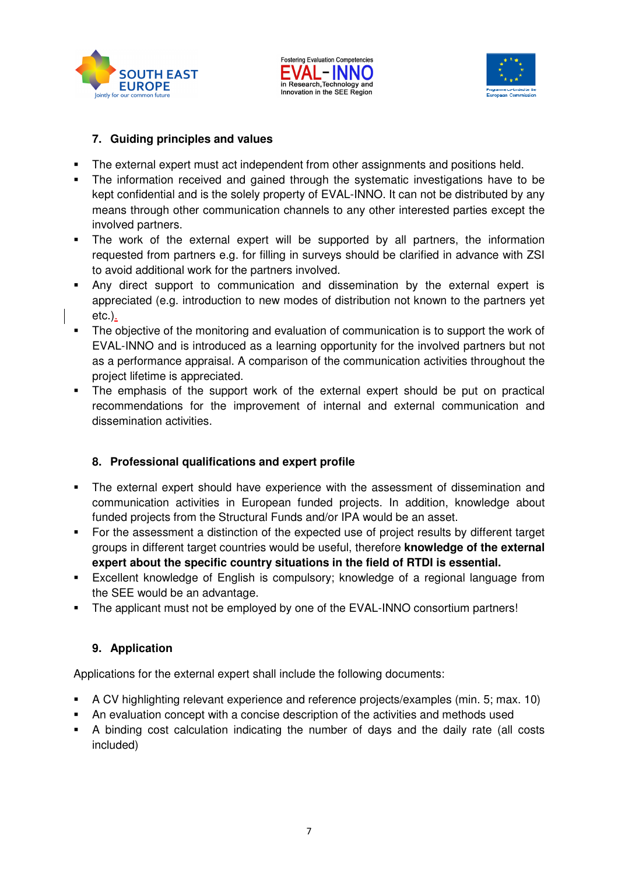





## **7. Guiding principles and values**

- The external expert must act independent from other assignments and positions held.
- The information received and gained through the systematic investigations have to be kept confidential and is the solely property of EVAL-INNO. It can not be distributed by any means through other communication channels to any other interested parties except the involved partners.
- The work of the external expert will be supported by all partners, the information requested from partners e.g. for filling in surveys should be clarified in advance with ZSI to avoid additional work for the partners involved.
- Any direct support to communication and dissemination by the external expert is appreciated (e.g. introduction to new modes of distribution not known to the partners yet etc.).
- The objective of the monitoring and evaluation of communication is to support the work of EVAL-INNO and is introduced as a learning opportunity for the involved partners but not as a performance appraisal. A comparison of the communication activities throughout the project lifetime is appreciated.
- The emphasis of the support work of the external expert should be put on practical recommendations for the improvement of internal and external communication and dissemination activities.

## **8. Professional qualifications and expert profile**

- The external expert should have experience with the assessment of dissemination and communication activities in European funded projects. In addition, knowledge about funded projects from the Structural Funds and/or IPA would be an asset.
- For the assessment a distinction of the expected use of project results by different target groups in different target countries would be useful, therefore **knowledge of the external expert about the specific country situations in the field of RTDI is essential.**
- Excellent knowledge of English is compulsory; knowledge of a regional language from the SEE would be an advantage.
- The applicant must not be employed by one of the EVAL-INNO consortium partners!

## **9. Application**

Applications for the external expert shall include the following documents:

- A CV highlighting relevant experience and reference projects/examples (min. 5; max. 10)
- An evaluation concept with a concise description of the activities and methods used
- A binding cost calculation indicating the number of days and the daily rate (all costs included)